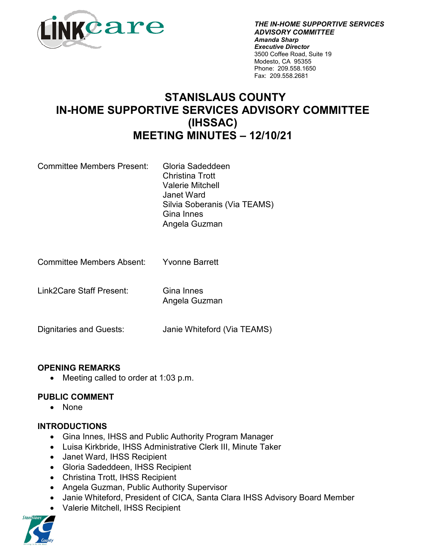

*THE IN-HOME SUPPORTIVE SERVICES ADVISORY COMMITTEE Amanda Sharp Executive Director* 3500 Coffee Road, Suite 19 Modesto, CA 95355 Phone: 209.558.1650 Fax: 209.558.2681

# **STANISLAUS COUNTY IN-HOME SUPPORTIVE SERVICES ADVISORY COMMITTEE (IHSSAC) MEETING MINUTES – 12/10/21**

Committee Members Present: Gloria Sadeddeen

Christina Trott Valerie Mitchell Janet Ward Silvia Soberanis (Via TEAMS) Gina Innes Angela Guzman

- Committee Members Absent: Yvonne Barrett
- Link2Care Staff Present: Gina Innes

Angela Guzman

Dignitaries and Guests: Janie Whiteford (Via TEAMS)

## **OPENING REMARKS**

• Meeting called to order at 1:03 p.m.

## **PUBLIC COMMENT**

• None

#### **INTRODUCTIONS**

- Gina Innes, IHSS and Public Authority Program Manager
- Luisa Kirkbride, IHSS Administrative Clerk III, Minute Taker
- Janet Ward, IHSS Recipient
- Gloria Sadeddeen, IHSS Recipient
- Christina Trott, IHSS Recipient
- Angela Guzman, Public Authority Supervisor
- Janie Whiteford, President of CICA, Santa Clara IHSS Advisory Board Member
- Valerie Mitchell, IHSS Recipient

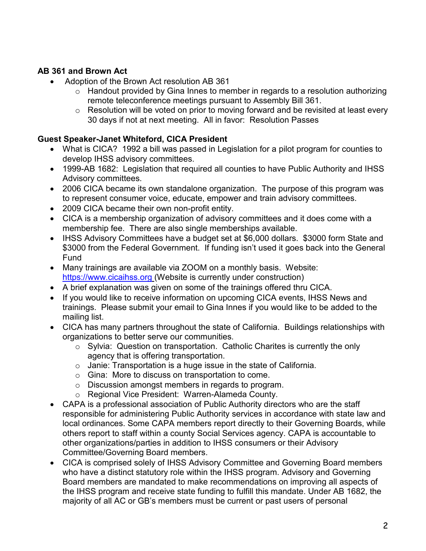# **AB 361 and Brown Act**

- Adoption of the Brown Act resolution AB 361
	- $\circ$  Handout provided by Gina Innes to member in regards to a resolution authorizing remote teleconference meetings pursuant to Assembly Bill 361.
	- o Resolution will be voted on prior to moving forward and be revisited at least every 30 days if not at next meeting. All in favor: Resolution Passes

# **Guest Speaker-Janet Whiteford, CICA President**

- What is CICA? 1992 a bill was passed in Legislation for a pilot program for counties to develop IHSS advisory committees.
- 1999-AB 1682: Legislation that required all counties to have Public Authority and IHSS Advisory committees.
- 2006 CICA became its own standalone organization. The purpose of this program was to represent consumer voice, educate, empower and train advisory committees.
- 2009 CICA became their own non-profit entity.
- CICA is a membership organization of advisory committees and it does come with a membership fee. There are also single memberships available.
- IHSS Advisory Committees have a budget set at \$6,000 dollars. \$3000 form State and \$3000 from the Federal Government. If funding isn't used it goes back into the General Fund
- Many trainings are available via ZOOM on a monthly basis. Website: [https://www.cicaihss.org](https://www.cicaihss.org/) (Website is currently under construction)
- A brief explanation was given on some of the trainings offered thru CICA.
- If you would like to receive information on upcoming CICA events, IHSS News and trainings. Please submit your email to Gina Innes if you would like to be added to the mailing list.
- CICA has many partners throughout the state of California. Buildings relationships with organizations to better serve our communities.
	- o Sylvia: Question on transportation. Catholic Charites is currently the only agency that is offering transportation.
	- $\circ$  Janie: Transportation is a huge issue in the state of California.
	- o Gina: More to discuss on transportation to come.
	- o Discussion amongst members in regards to program.
	- o Regional Vice President: Warren-Alameda County.
- CAPA is a professional association of Public Authority directors who are the staff responsible for administering Public Authority services in accordance with state law and local ordinances. Some CAPA members report directly to their Governing Boards, while others report to staff within a county Social Services agency. CAPA is accountable to other organizations/parties in addition to IHSS consumers or their Advisory Committee/Governing Board members.
- CICA is comprised solely of IHSS Advisory Committee and Governing Board members who have a distinct statutory role within the IHSS program. Advisory and Governing Board members are mandated to make recommendations on improving all aspects of the IHSS program and receive state funding to fulfill this mandate. Under AB 1682, the majority of all AC or GB's members must be current or past users of personal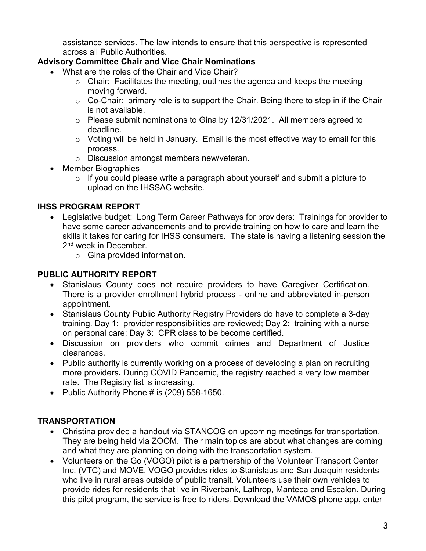assistance services. The law intends to ensure that this perspective is represented across all Public Authorities.

# **Advisory Committee Chair and Vice Chair Nominations**

- What are the roles of the Chair and Vice Chair?
	- $\circ$  Chair: Facilitates the meeting, outlines the agenda and keeps the meeting moving forward.
	- $\circ$  Co-Chair: primary role is to support the Chair. Being there to step in if the Chair is not available.
	- o Please submit nominations to Gina by 12/31/2021. All members agreed to deadline.
	- $\circ$  Voting will be held in January. Email is the most effective way to email for this process.
	- o Discussion amongst members new/veteran.
- Member Biographies
	- $\circ$  If you could please write a paragraph about yourself and submit a picture to upload on the IHSSAC website.

# **IHSS PROGRAM REPORT**

- Legislative budget: Long Term Career Pathways for providers: Trainings for provider to have some career advancements and to provide training on how to care and learn the skills it takes for caring for IHSS consumers. The state is having a listening session the 2<sup>nd</sup> week in December.
	- $\circ$  Gina provided information.

# **PUBLIC AUTHORITY REPORT**

- Stanislaus County does not require providers to have Caregiver Certification. There is a provider enrollment hybrid process - online and abbreviated in-person appointment.
- Stanislaus County Public Authority Registry Providers do have to complete a 3-day training. Day 1: provider responsibilities are reviewed; Day 2: training with a nurse on personal care; Day 3: CPR class to be become certified.
- Discussion on providers who commit crimes and Department of Justice clearances.
- Public authority is currently working on a process of developing a plan on recruiting more providers**.** During COVID Pandemic, the registry reached a very low member rate. The Registry list is increasing.
- Public Authority Phone # is (209) 558-1650.

# **TRANSPORTATION**

- Christina provided a handout via STANCOG on upcoming meetings for transportation. They are being held via ZOOM. Their main topics are about what changes are coming and what they are planning on doing with the transportation system.
- Volunteers on the Go (VOGO) pilot is a partnership of the Volunteer Transport Center Inc. (VTC) and MOVE. VOGO provides rides to Stanislaus and San Joaquin residents who live in rural areas outside of public transit. Volunteers use their own vehicles to provide rides for residents that live in Riverbank, Lathrop, Manteca and Escalon. During this pilot program, the service is free to riders. Download the VAMOS phone app, enter